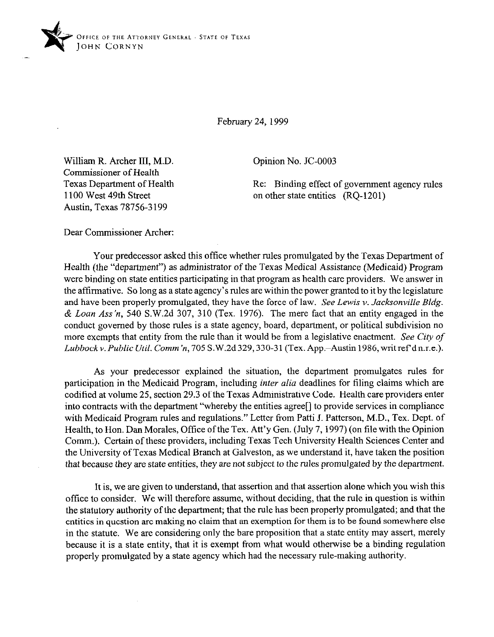

February 24, 1999

Opinion No. JC-0003

William R. Archer III, M.D. Commissioner of Health Texas Department of Health 1100 West 49th Street Austin, Texas 78756-3 199

Re: Binding effect of government agency rules on other state entities (RQ-1201)

Dear Commissioner Archer:

Your predecessor asked this office whether rules promulgated by the Texas Department of Health (the "department") as administrator of the Texas Medical Assistance (Medicaid) Program were binding on state entities participating in that program as health care providers. We answer in the affirmative. So long as a state agency's rules are within the power granted to it by the legislature and have been properly promulgated, they have the force of law. *See Lewis v. Jacksonville Bldg.*  & *Loan* Ass'n, 540 S.W.2d 307, 310 (Tex. 1976). The mere fact that an entity engaged in the conduct governed by those rules is a state agency, board, department, or political subdivision no more exempts that entity from the rule than it would be from a legislative enactment. See *City of*  Lubbock v. Public Util. *Comm'n*, 705 S.W.2d 329, 330-31 (Tex. App.-Austin 1986, writ ref'd n.r.e.).

As your predecessor explained the situation, the department promulgates rules for participation in the Medicaid Program, including inter alia deadlines for tiling claims which are codified at volume 25, section 29.3 of the Texas Administrative Code. Health care providers enter into contracts with the department "whereby the entities agree[] to provide services in compliance with Medicaid Program rules and regulations." Letter from Patti J. Patterson, M.D., Tex. Dept. of Health, to Hon. Dan Morales, Office of the Tex. Att'y Gen. (July 7,1997) (on file with the Opinion Comm.). Certain of these providers, including Texas Tech University Health Sciences Center and the University of Texas Medical Branch at Galveston, as we understand it, have taken the position that because they are state entities, they are not subject to the rules promulgated by the department.

It is, we are given to understand, that assertion and that assertion alone which you wish this office to consider. We will therefore assume, without deciding, that the rule in question is within the statutory authority of the department; that the rule has been properly promulgated; and that the entities in question are making no claim that an exemption for them is to be found somewhere else in the statute. We are considering only the bare proposition that a state entity may assert, merely because it is a state entity, that it is exempt from what would otherwise be a binding regulation properly promulgated by a state agency which had the necessary rule-making authority.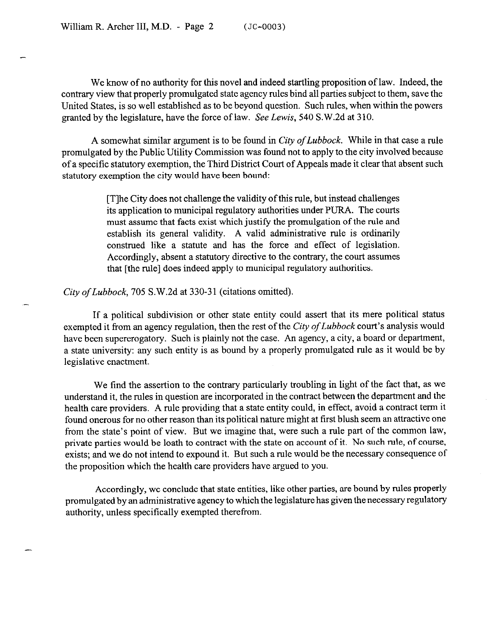-

-

-

We know of no authority for this novel and indeed startling proposition of law. Indeed, the contrary view that properly promulgated state agency rules bind all parties subject to them, save the United States, is so well established as to be beyond question. Such rules, when within the powers granted by the legislature, have the force of law. See *Lewis, 540* S.W.2d at 310.

A somewhat similar argument is to be found in City *of Lubbock.* While in that case a rule promulgated by the Public Utility Commission was found not to apply to the city involved because of a specific statutory exemption, the Third District Court of Appeals made it clear that absent such statutory exemption the city would have been bound:

> [T]he City does not challenge the validity of this rule, but instead challenges its application to municipal regulatory authorities under PURA. The courts must assume that facts exist which justify the promulgation of the rule and establish its general validity. A valid administrative rule is ordinarily construed like a statute and has the force and effect of legislation. Accordingly, absent a statutory directive to the contrary, the court assumes that [the rule] does indeed apply to municipal regulatory authorities.

*City of Lubbock, 705 S.W.2d at 330-31 (citations omitted).* 

If a political subdivision or other state entity could assert that its mere political status exempted it from an agency regulation, then the rest of the *City of Lubbock* court's analysis would have been supererogatory. Such is plainly not the case. An agency, a city, a board or department, a state university: any such entity is as bound by a properly promulgated rule as it would be by legislative enactment.

We find the assertion to the contrary particularly troubling in light of the fact that, as we understand it, the rules in question are incorporated in the contract between the department and the health care providers. A rule providing that a state entity could, in effect, avoid a contract term it found onerous for no other reason than its political nature might at first blush seem an attractive one from the state's point of view. But we imagine that, were such a rule part of the common law, private parties would be loath to contract with the state on account of it. No such rule, of course, exists; and we do not intend to expound it. But such a rule would be the necessary consequence of the proposition which the health care providers have argued to you.

Accordingly, we conclude that state entities, like other parties, are bound by rules properly promulgated by an administrative agency to which the legislature has given the necessary regulatory authority, unless specifically exempted therefrom.